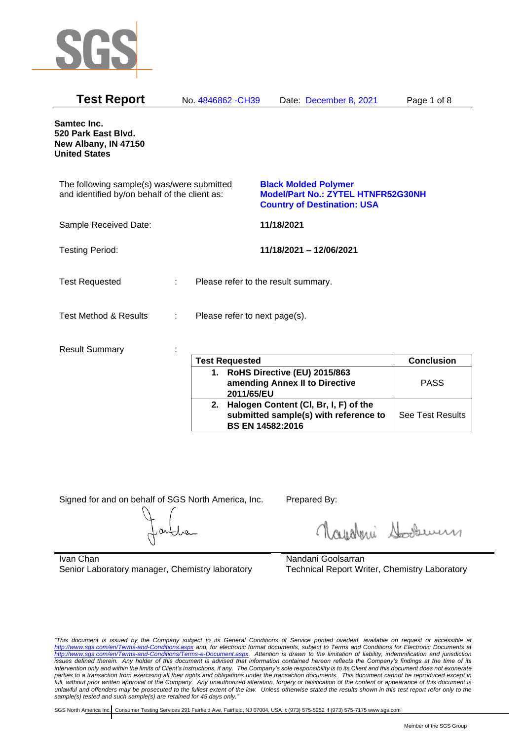

| <b>Test Report</b>                                                                          | No. 4846862 - CH39                 | Date: December 8, 2021                                                                                         | Page 1 of 8 |
|---------------------------------------------------------------------------------------------|------------------------------------|----------------------------------------------------------------------------------------------------------------|-------------|
| Samtec Inc.<br>520 Park East Blvd.<br>New Albany, IN 47150<br><b>United States</b>          |                                    |                                                                                                                |             |
| The following sample(s) was/were submitted<br>and identified by/on behalf of the client as: |                                    | <b>Black Molded Polymer</b><br><b>Model/Part No.: ZYTEL HTNFR52G30NH</b><br><b>Country of Destination: USA</b> |             |
| Sample Received Date:                                                                       |                                    | 11/18/2021                                                                                                     |             |
| <b>Testing Period:</b>                                                                      |                                    | 11/18/2021 - 12/06/2021                                                                                        |             |
| <b>Test Requested</b>                                                                       | ÷.                                 | Please refer to the result summary.                                                                            |             |
| <b>Test Method &amp; Results</b>                                                            | Please refer to next page(s).<br>÷ |                                                                                                                |             |
| <b>Result Summary</b>                                                                       |                                    |                                                                                                                |             |

| <b>Test Requested</b>                                                                                        | <b>Conclusion</b> |
|--------------------------------------------------------------------------------------------------------------|-------------------|
| 1. RoHS Directive (EU) 2015/863<br>amending Annex II to Directive<br>2011/65/EU                              | <b>PASS</b>       |
| 2. Halogen Content (CI, Br, I, F) of the<br>submitted sample(s) with reference to<br><b>BS EN 14582:2016</b> | See Test Results  |

Signed for and on behalf of SGS North America, Inc. Prepared By:

Nualmi Sousen

Ivan Chan Senior Laboratory manager, Chemistry laboratory

Nandani Goolsarran Technical Report Writer, Chemistry Laboratory

*"This document is issued by the Company subject to its General Conditions of Service printed overleaf, available on request or accessible at <http://www.sgs.com/en/Terms-and-Conditions.aspx> and, for electronic format documents, subject to Terms and Conditions for Electronic Documents at [http://www.sgs.com/en/Terms-and-Conditions/Terms-e-Document.aspx.](http://www.sgs.com/en/Terms-and-Conditions/Terms-e-Document.aspx) Attention is drawn to the limitation of liability, indemnification and jurisdiction issues defined therein. Any holder of this document is advised that information contained hereon reflects the Company's findings at the time of its intervention only and within the limits of Client's instructions, if any. The Company's sole responsibility is to its Client and this document does not exonerate parties to a transaction from exercising all their rights and obligations under the transaction documents. This document cannot be reproduced except in*  full, without prior written approval of the Company. Any unauthorized alteration, forgery or falsification of the content or appearance of this document is *unlawful and offenders may be prosecuted to the fullest extent of the law. Unless otherwise stated the results shown in this test report refer only to the sample(s) tested and such sample(s) are retained for 45 days only."*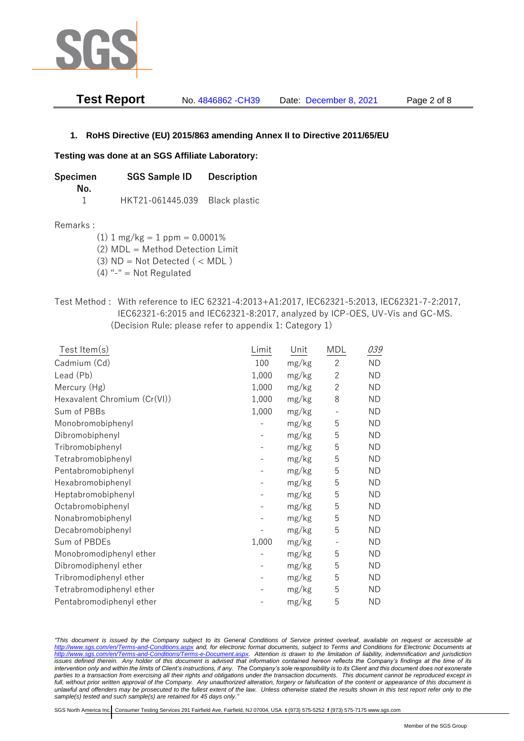

| <b>Test Report</b> | No. 4846862 - CH39 | Date: December 8, 2021 | Page 2 of 8 |
|--------------------|--------------------|------------------------|-------------|
|                    |                    |                        |             |

## **1. RoHS Directive (EU) 2015/863 amending Annex II to Directive 2011/65/EU**

### **Testing was done at an SGS Affiliate Laboratory:**

**Specimen SGS Sample ID Description No.** 1 HKT21-061445.039 Black plastic

### Remarks :

 $(1)$  1 mg/kg = 1 ppm = 0.0001%

(2) MDL = Method Detection Limit

(3)  $ND = Not detected$  ( < MDL)

- (4) "-" = Not Regulated
- Test Method : With reference to IEC 62321-4:2013+A1:2017, IEC62321-5:2013, IEC62321-7-2:2017, IEC62321-6:2015 and IEC62321-8:2017, analyzed by ICP-OES, UV-Vis and GC-MS. (Decision Rule: please refer to appendix 1: Category 1)

| Test Item(s)                 | Limit | Unit  | MDL            | 039       |
|------------------------------|-------|-------|----------------|-----------|
| Cadmium (Cd)                 | 100   | mg/kg | $\overline{2}$ | <b>ND</b> |
| Lead (Pb)                    | 1,000 | mg/kg | $\mathbf{2}$   | <b>ND</b> |
| Mercury (Hg)                 | 1,000 | mg/kg | $\mathbf{2}$   | <b>ND</b> |
| Hexavalent Chromium (Cr(VI)) | 1,000 | mg/kg | 8              | <b>ND</b> |
| Sum of PBBs                  | 1,000 | mg/kg |                | <b>ND</b> |
| Monobromobiphenyl            |       | mg/kg | 5              | <b>ND</b> |
| Dibromobiphenyl              |       | mg/kg | 5              | <b>ND</b> |
| Tribromobiphenyl             |       | mg/kg | 5              | <b>ND</b> |
| Tetrabromobiphenyl           |       | mg/kg | 5              | <b>ND</b> |
| Pentabromobiphenyl           |       | mg/kg | 5              | <b>ND</b> |
| Hexabromobiphenyl            |       | mg/kg | 5              | <b>ND</b> |
| Heptabromobiphenyl           |       | mg/kg | 5              | <b>ND</b> |
| Octabromobiphenyl            |       | mg/kg | 5              | <b>ND</b> |
| Nonabromobiphenyl            |       | mg/kg | 5              | <b>ND</b> |
| Decabromobiphenyl            |       | mg/kg | 5              | <b>ND</b> |
| Sum of PBDEs                 | 1,000 | mg/kg |                | <b>ND</b> |
| Monobromodiphenyl ether      |       | mg/kg | 5              | <b>ND</b> |
| Dibromodiphenyl ether        |       | mg/kg | 5              | ND        |
| Tribromodiphenyl ether       |       | mg/kg | 5              | <b>ND</b> |
| Tetrabromodiphenyl ether     |       | mg/kg | 5              | <b>ND</b> |
| Pentabromodiphenyl ether     |       | mg/kg | 5              | <b>ND</b> |

*"This document is issued by the Company subject to its General Conditions of Service printed overleaf, available on request or accessible at <http://www.sgs.com/en/Terms-and-Conditions.aspx> and, for electronic format documents, subject to Terms and Conditions for Electronic Documents at [http://www.sgs.com/en/Terms-and-Conditions/Terms-e-Document.aspx.](http://www.sgs.com/en/Terms-and-Conditions/Terms-e-Document.aspx) Attention is drawn to the limitation of liability, indemnification and jurisdiction issues defined therein. Any holder of this document is advised that information contained hereon reflects the Company's findings at the time of its intervention only and within the limits of Client's instructions, if any. The Company's sole responsibility is to its Client and this document does not exonerate*  parties to a transaction from exercising all their rights and obligations under the transaction documents. This document cannot be reproduced except in full, without prior written approval of the Company. Any unauthorized alteration, forgery or falsification of the content or appearance of this document is *unlawful and offenders may be prosecuted to the fullest extent of the law. Unless otherwise stated the results shown in this test report refer only to the sample(s) tested and such sample(s) are retained for 45 days only."*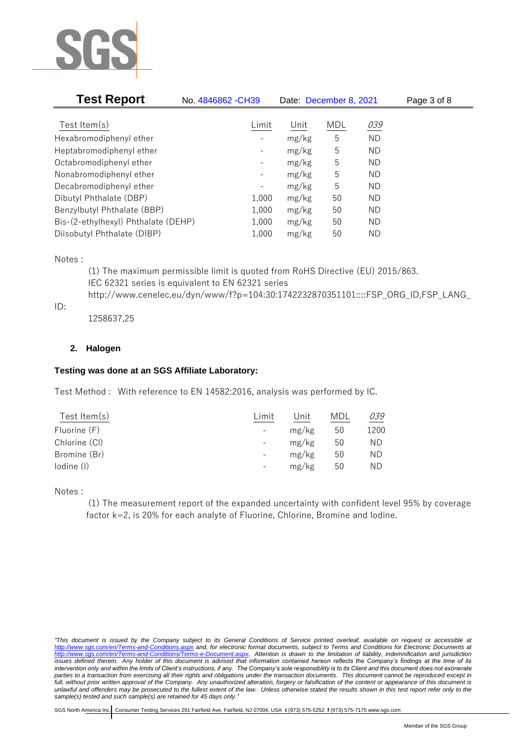

| <b>Test Report</b>                  | No. 4846862 - CH39 | Date: December 8, 2021 |     |           | Page 3 of 8 |  |
|-------------------------------------|--------------------|------------------------|-----|-----------|-------------|--|
|                                     |                    |                        |     |           |             |  |
| Test Item $(s)$                     | Limit              | Unit                   | MDL | 039       |             |  |
| Hexabromodiphenyl ether             |                    | mg/kg                  | 5   | <b>ND</b> |             |  |
| Heptabromodiphenyl ether            |                    | mg/kg                  | 5   | ND        |             |  |
| Octabromodiphenyl ether             | -                  | mg/kg                  | 5   | ND        |             |  |
| Nonabromodiphenyl ether             | -                  | mg/kg                  | 5   | <b>ND</b> |             |  |
| Decabromodiphenyl ether             | -                  | mg/kg                  | 5   | <b>ND</b> |             |  |
| Dibutyl Phthalate (DBP)             | 1,000              | mg/kg                  | 50  | ND.       |             |  |
| Benzylbutyl Phthalate (BBP)         | 1,000              | mg/kg                  | 50  | ND        |             |  |
| Bis-(2-ethylhexyl) Phthalate (DEHP) | 1,000              | mg/kg                  | 50  | ND.       |             |  |
| Diisobutyl Phthalate (DIBP)         | 1,000              | mg/kg                  | 50  | ΝD        |             |  |

Notes :

(1) The maximum permissible limit is quoted from RoHS Directive (EU) 2015/863. IEC 62321 series is equivalent to EN 62321 series http://www.cenelec.eu/dyn/www/f?p=104:30:1742232870351101::::FSP\_ORG\_ID,FSP\_LANG\_

ID:

1258637,25

# **2. Halogen**

# **Testing was done at an SGS Affiliate Laboratory:**

Test Method : With reference to EN 14582:2016, analysis was performed by IC.

| Test Item $(s)$ | Limit             | Unit  | MDL | 039  |
|-----------------|-------------------|-------|-----|------|
| Fluorine (F)    |                   | mg/kg | 50  | 1200 |
| Chlorine (CI)   |                   | mg/kg | 50  | ΝD   |
| Bromine (Br)    |                   | mg/kg | 50  | ΝD   |
| lodine (I)      | $\qquad \qquad -$ | mg/kg | 50  | ΝD   |
|                 |                   |       |     |      |

Notes :

(1) The measurement report of the expanded uncertainty with confident level 95% by coverage factor k=2, is 20% for each analyte of Fluorine, Chlorine, Bromine and Iodine.

*<sup>&</sup>quot;This document is issued by the Company subject to its General Conditions of Service printed overleaf, available on request or accessible at <http://www.sgs.com/en/Terms-and-Conditions.aspx> and, for electronic format documents, subject to Terms and Conditions for Electronic Documents at [http://www.sgs.com/en/Terms-and-Conditions/Terms-e-Document.aspx.](http://www.sgs.com/en/Terms-and-Conditions/Terms-e-Document.aspx) Attention is drawn to the limitation of liability, indemnification and jurisdiction issues defined therein. Any holder of this document is advised that information contained hereon reflects the Company's findings at the time of its intervention only and within the limits of Client's instructions, if any. The Company's sole responsibility is to its Client and this document does not exonerate*  parties to a transaction from exercising all their rights and obligations under the transaction documents. This document cannot be reproduced except in full, without prior written approval of the Company. Any unauthorized alteration, forgery or falsification of the content or appearance of this document is *unlawful and offenders may be prosecuted to the fullest extent of the law. Unless otherwise stated the results shown in this test report refer only to the sample(s) tested and such sample(s) are retained for 45 days only."*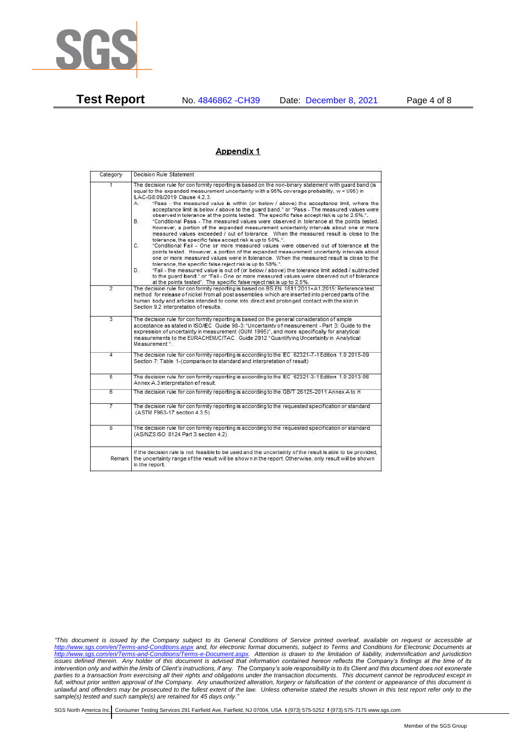

**Test Report** No. 4846862 -CH39 Date: December 8, 2021 Page 4 of 8

#### Appendix 1

| Category                | Decision Rule Statement                                                                                                                                                                                                                                                                                                                                                                                                                                                                                                                                                                                                                                                                                                                                                                                                                                                                                                                                                                                                                                                                                                                                                                                                                                                                                                                                                                                                                   |  |  |  |
|-------------------------|-------------------------------------------------------------------------------------------------------------------------------------------------------------------------------------------------------------------------------------------------------------------------------------------------------------------------------------------------------------------------------------------------------------------------------------------------------------------------------------------------------------------------------------------------------------------------------------------------------------------------------------------------------------------------------------------------------------------------------------------------------------------------------------------------------------------------------------------------------------------------------------------------------------------------------------------------------------------------------------------------------------------------------------------------------------------------------------------------------------------------------------------------------------------------------------------------------------------------------------------------------------------------------------------------------------------------------------------------------------------------------------------------------------------------------------------|--|--|--|
| $\overline{1}$          | The decision rule for conformity reporting is based on the non-binary statement with guard band (is<br>equal to the expanded measurement uncertainty with a 95% coverage probability, w = U95) in<br>ILAC-G8:09/2019 Clause 4.2.3.<br>"Pass - the measured value is within (or below / above) the acceptance limit, where the<br>А.<br>acceptance limit is below / above to the quard band." or "Pass - The measured values were<br>observed in tolerance at the points tested. The specific false accept risk is up to 2.5%.".<br>"Conditional Pass - The measured values were observed in tolerance at the points tested.<br>В.<br>However, a portion of the expanded measurement uncertainty intervals about one or more<br>measured values exceeded / out of tolerance. When the measured result is close to the<br>tolerance, the specific false accept risk is up to 50%."<br>C.<br>"Conditional Fail - One or more measured values were observed out of tolerance at the<br>points tested. However, a portion of the expanded measurement uncertainty intervals about<br>one or more measured values were in tolerance. When the measured result is close to the<br>tolerance, the specific false reject risk is up to 50%.".<br>"Fail - the measured value is out of (or below / above) the tolerance limit added / subtracted<br>D.<br>to the quard band." or "Fail - One or more measured values were observed out of tolerance |  |  |  |
| $\overline{2}$          | at the points tested". The specific false reject risk is up to 2.5%.<br>The decision rule for conformity reporting is based on BS EN 1811:2011+A1:2015: Reference test<br>method for release of nickel from all post assemblies which are inserted into pierced parts of the<br>human body and articles intended to come into direct and prolonged contact with the skin in<br>Section 9.2 interpretation of results.                                                                                                                                                                                                                                                                                                                                                                                                                                                                                                                                                                                                                                                                                                                                                                                                                                                                                                                                                                                                                     |  |  |  |
| $\overline{3}$          | The decision rule for conformity reporting is based on the general consideration of simple<br>acceptance as stated in ISO/IEC Guide 98-3: "Uncertainty of measurement - Part 3: Guide to the<br>expression of uncertainty in measurement (GUM 1995)", and more specifically for analytical<br>measurements to the EURACHEM/CITAC Guide 2012 "Quantifying Uncertainty in Analytical<br>Measurement <sup>*</sup>                                                                                                                                                                                                                                                                                                                                                                                                                                                                                                                                                                                                                                                                                                                                                                                                                                                                                                                                                                                                                            |  |  |  |
| 4                       | The decision rule for conformity reporting is according to the IEC 62321-7-1 Edition 1.0 2015-09<br>Section 7: Table 1-(comparison to standard and interpretation of result)                                                                                                                                                                                                                                                                                                                                                                                                                                                                                                                                                                                                                                                                                                                                                                                                                                                                                                                                                                                                                                                                                                                                                                                                                                                              |  |  |  |
| 5                       | The decision rule for conformity reporting is according to the IEC 62321-3-1 Edition 1.0 2013-06<br>Annex A.3 interpretation of result.                                                                                                                                                                                                                                                                                                                                                                                                                                                                                                                                                                                                                                                                                                                                                                                                                                                                                                                                                                                                                                                                                                                                                                                                                                                                                                   |  |  |  |
| 6                       | The decision rule for conformity reporting is according to the GB/T 26125-2011 Annex A to H                                                                                                                                                                                                                                                                                                                                                                                                                                                                                                                                                                                                                                                                                                                                                                                                                                                                                                                                                                                                                                                                                                                                                                                                                                                                                                                                               |  |  |  |
| 7                       | The decision rule for conformity reporting is according to the requested specification or standard<br>(ASTM F963-17 section 4.3.5)                                                                                                                                                                                                                                                                                                                                                                                                                                                                                                                                                                                                                                                                                                                                                                                                                                                                                                                                                                                                                                                                                                                                                                                                                                                                                                        |  |  |  |
| $\overline{\mathbf{8}}$ | The decision rule for conformity reporting is according to the requested specification or standard<br>(AS/NZS ISO 8124 Part 3 section 4.2)                                                                                                                                                                                                                                                                                                                                                                                                                                                                                                                                                                                                                                                                                                                                                                                                                                                                                                                                                                                                                                                                                                                                                                                                                                                                                                |  |  |  |
| Remark                  | If the decision rule is not feasible to be used and the uncertainty of the result is able to be provided,<br>the uncertainty range of the result will be shown in the report. Otherwise, only result will be shown<br>in the report.                                                                                                                                                                                                                                                                                                                                                                                                                                                                                                                                                                                                                                                                                                                                                                                                                                                                                                                                                                                                                                                                                                                                                                                                      |  |  |  |

*"This document is issued by the Company subject to its General Conditions of Service printed overleaf, available on request or accessible at <http://www.sgs.com/en/Terms-and-Conditions.aspx> and, for electronic format documents, subject to Terms and Conditions for Electronic Documents at [http://www.sgs.com/en/Terms-and-Conditions/Terms-e-Document.aspx.](http://www.sgs.com/en/Terms-and-Conditions/Terms-e-Document.aspx) Attention is drawn to the limitation of liability, indemnification and jurisdiction issues defined therein. Any holder of this document is advised that information contained hereon reflects the Company's findings at the time of its intervention only and within the limits of Client's instructions, if any. The Company's sole responsibility is to its Client and this document does not exonerate parties to a transaction from exercising all their rights and obligations under the transaction documents. This document cannot be reproduced except in*  full, without prior written approval of the Company. Any unauthorized alteration, forgery or falsification of the content or appearance of this document is *unlawful and offenders may be prosecuted to the fullest extent of the law. Unless otherwise stated the results shown in this test report refer only to the sample(s) tested and such sample(s) are retained for 45 days only."*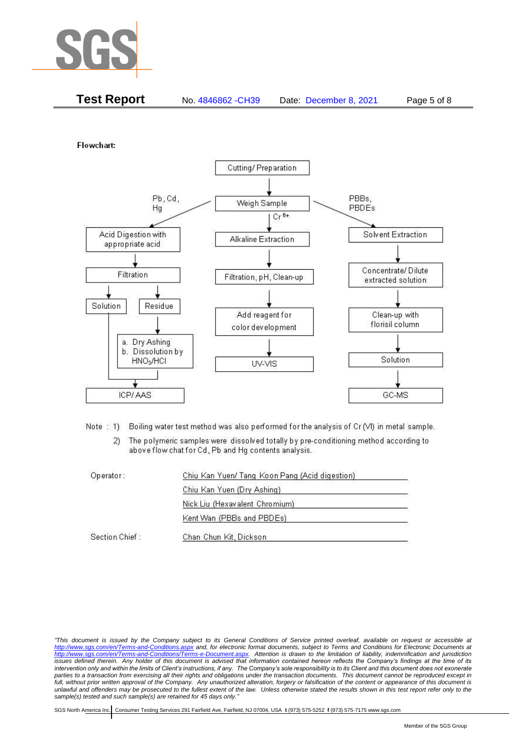

| <b>Test Report</b><br>No. 4846862 - CH39<br>Date: December 8, 2021 | Page 5 of 8 |
|--------------------------------------------------------------------|-------------|
|--------------------------------------------------------------------|-------------|

Flowchart:



Note: 1) Boiling water test method was also performed for the analysis of Cr (VI) in metal sample.

The polymeric samples were dissolved totally by pre-conditioning method according to  $2)$ above flow chat for Cd, Pb and Hg contents analysis.

| Operator:      | Chiu Kan Yuen/ Tang Koon Pang (Acid digestion) |  |
|----------------|------------------------------------------------|--|
|                | Chiu Kan Yuen (Dry Ashing)                     |  |
|                | Nick Liu (Hexavalent Chromium)                 |  |
|                | Kent Wan (PBBs and PBDEs)                      |  |
| Section Chief: | Chan Chun Kit, Dickson                         |  |

*"This document is issued by the Company subject to its General Conditions of Service printed overleaf, available on request or accessible at <http://www.sgs.com/en/Terms-and-Conditions.aspx> and, for electronic format documents, subject to Terms and Conditions for Electronic Documents at [http://www.sgs.com/en/Terms-and-Conditions/Terms-e-Document.aspx.](http://www.sgs.com/en/Terms-and-Conditions/Terms-e-Document.aspx) Attention is drawn to the limitation of liability, indemnification and jurisdiction issues defined therein. Any holder of this document is advised that information contained hereon reflects the Company's findings at the time of its intervention only and within the limits of Client's instructions, if any. The Company's sole responsibility is to its Client and this document does not exonerate*  parties to a transaction from exercising all their rights and obligations under the transaction documents. This document cannot be reproduced except in full, without prior written approval of the Company. Any unauthorized alteration, forgery or falsification of the content or appearance of this document is *unlawful and offenders may be prosecuted to the fullest extent of the law. Unless otherwise stated the results shown in this test report refer only to the sample(s) tested and such sample(s) are retained for 45 days only."*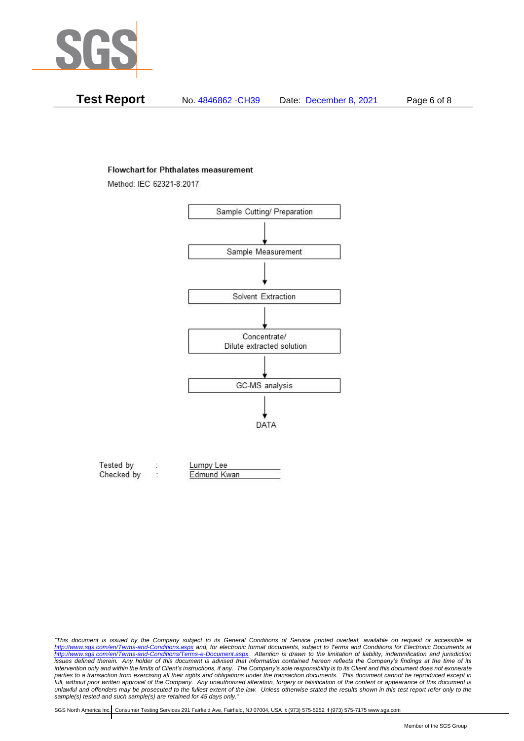

| Test Report | No. 4846862 - CH39 | Date: December 8, 2021 | Page 6 of 8 |
|-------------|--------------------|------------------------|-------------|
|-------------|--------------------|------------------------|-------------|

#### **Flowchart for Phthalates measurement**

Method: IEC 62321-8:2017



| Tested by  | Lumpy Lee   |  |
|------------|-------------|--|
| Checked by | Edmund Kwan |  |

*<sup>&</sup>quot;This document is issued by the Company subject to its General Conditions of Service printed overleaf, available on request or accessible at <http://www.sgs.com/en/Terms-and-Conditions.aspx> and, for electronic format documents, subject to Terms and Conditions for Electronic Documents at [http://www.sgs.com/en/Terms-and-Conditions/Terms-e-Document.aspx.](http://www.sgs.com/en/Terms-and-Conditions/Terms-e-Document.aspx) Attention is drawn to the limitation of liability, indemnification and jurisdiction issues defined therein. Any holder of this document is advised that information contained hereon reflects the Company's findings at the time of its intervention only and within the limits of Client's instructions, if any. The Company's sole responsibility is to its Client and this document does not exonerate*  parties to a transaction from exercising all their rights and obligations under the transaction documents. This document cannot be reproduced except in full, without prior written approval of the Company. Any unauthorized alteration, forgery or falsification of the content or appearance of this document is *unlawful and offenders may be prosecuted to the fullest extent of the law. Unless otherwise stated the results shown in this test report refer only to the sample(s) tested and such sample(s) are retained for 45 days only."*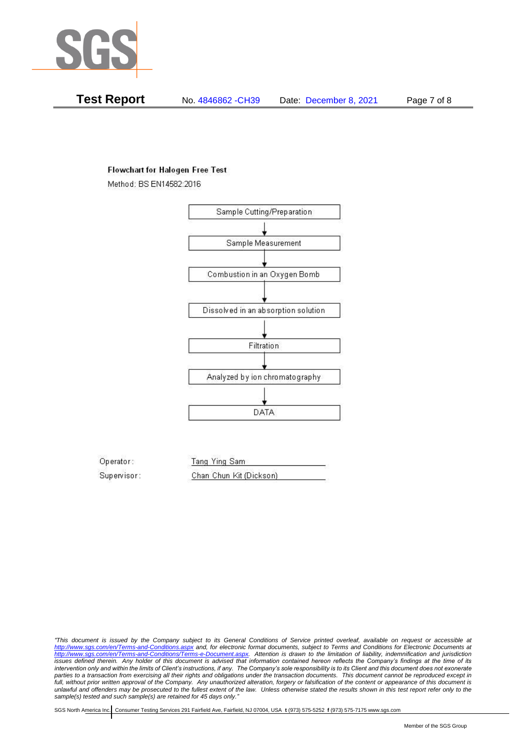

**Test Report** No. 4846862 -CH39 Date: December 8, 2021 Page 7 of 8

## **Flowchart for Halogen Free Test**

Method: BS EN14582:2016



Operator: Tang Ying Sam Supervisor: Chan Chun Kit (Dickson)

*"This document is issued by the Company subject to its General Conditions of Service printed overleaf, available on request or accessible at <http://www.sgs.com/en/Terms-and-Conditions.aspx> and, for electronic format documents, subject to Terms and Conditions for Electronic Documents at [http://www.sgs.com/en/Terms-and-Conditions/Terms-e-Document.aspx.](http://www.sgs.com/en/Terms-and-Conditions/Terms-e-Document.aspx) Attention is drawn to the limitation of liability, indemnification and jurisdiction issues defined therein. Any holder of this document is advised that information contained hereon reflects the Company's findings at the time of its intervention only and within the limits of Client's instructions, if any. The Company's sole responsibility is to its Client and this document does not exonerate parties to a transaction from exercising all their rights and obligations under the transaction documents. This document cannot be reproduced except in*  full, without prior written approval of the Company. Any unauthorized alteration, forgery or falsification of the content or appearance of this document is *unlawful and offenders may be prosecuted to the fullest extent of the law. Unless otherwise stated the results shown in this test report refer only to the sample(s) tested and such sample(s) are retained for 45 days only."*